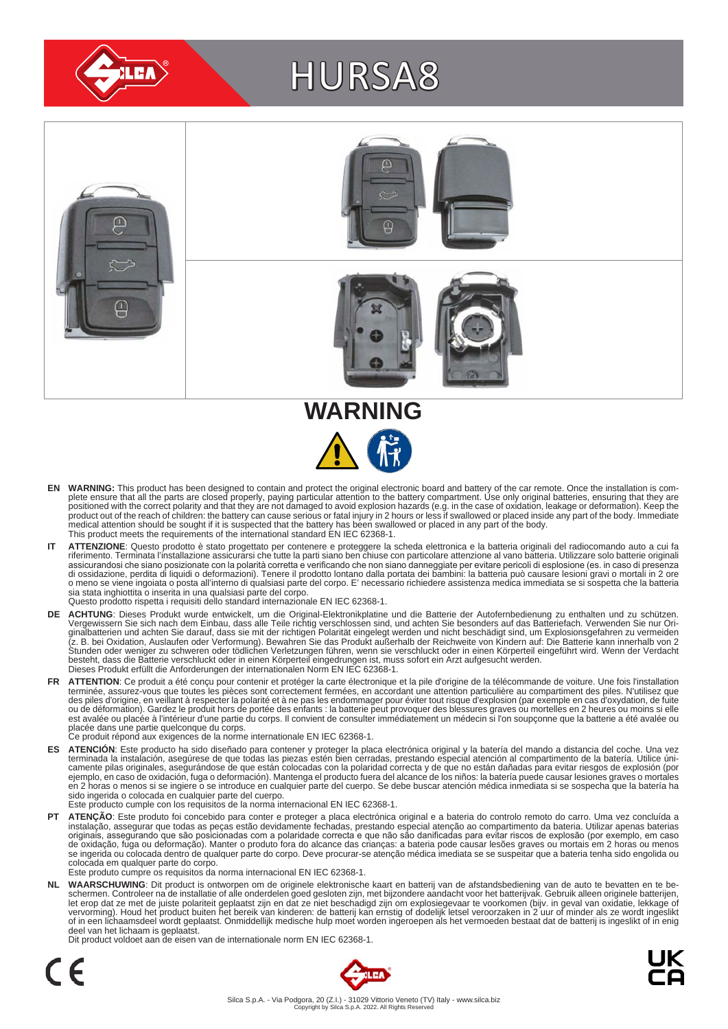

# HURSA8





- EN WARNING: This product has been designed to contain and protect the original electronic board and battery of the car remote. Once the installation is com-<br>plete ensure that all the parts are closed properly, paying parti positioned with the correct polarity and that they are not damaged to avoid explosion hazards (e.g. in the case of oxidation, leakage or deformation). Keep the<br>product out of the reach of children: the battery can cause se medical attention should be sought if it is suspected that the battery has been swallowed or placed in any part of the body. This product meets the requirements of the international standard EN IEC 62368-1.
- IT ATTENZIONE: Questo prodotto è stato progettato per contenere e proteggere la scheda elettronica e la batteria originali del radiocomando auto a cui fa<br>riferimento. Terminata l'installazione assicurarsi che tutte la part assicurandosi che siano posizionate con la polarità corretta e verificando che non siano danneggiate per evitare pericoli di esplosione (es. in caso di presenza<br>di ossidazione, perdita di liquidi o deformazioni). Tenere il sia stata inghiottita o inserita in una qualsiasi parte del corpo. Questo prodotto rispetta i requisiti dello standard internazionale EN IEC 62368-1.
- **DE ACHTUNG**: Dieses Produkt wurde entwickelt, um die Original-Elektronikplatine und die Batterie der Autofernbedienung zu enthalten und zu schützen.<br>Vergewissern Sie sich nach dem Einbau, dass alle Teile richtig verschlos besteht, dass die Batterie verschluckt oder in einen Körperteil eingedrungen ist, muss sofort ein Arzt aufgesucht werden.<br>Dieses Produkt erfüllt die Anforderungen der internationalen Norm EN IEC 62368-1.
- FR ATTENTION: Ce produit a été conçu pour contenir et protéger la carte électronique et la pile d'origine de la télécommande de voiture. Une fois l'installation terminée, assurez-vous que toutes les pièces sont correctement fermées, en accordant une attention particulière au compartiment des piles. N'utilisez que<br>des piles d'origine, en veillant à respecter la polarité et à ne pas est avalée ou placée à l'intérieur d'une partie du corps. Il convient de consulter immédiatement un médecin si l'on soupçonne que la batterie a été avalée ou<br>placée dans une partie quelconque du corps.<br>Ce produit répond au
	-
- ES ATENCION: Este producto ha sido diseñado para contener y proteger la placa electrónica original y la batería del mando a distancia del coche. Una vez<br>-terminada la instalación, asegúrese de que todas las piezas estén bi camente pilas originales, asegurándose de que están colocadas con la polaridad correcta y de que no están dañadas para evitar riesgos de explosión (por<br>ejemplo, en caso de oxidación, fuga o deformación). Mantenga el produc sido ingerida o colocada en cualquier parte del cuerpo.
- Este producto cumple con los requisitos de la norma internacional EN IEC 62368-1.
- **PT ATENÇÃO**: Este produto foi concebido para conter e proteger a placa electrónica original e a bateria do controlo remoto do carro. Uma vez concluída a instalação, assegurar que todas as peças estão devidamente fechadas, prestando especial atenção ao compartimento da bateria. Utilizar apenas baterias<br>originais, assegurando que são posicionadas com a polaridade correcta e colocada em qualquer parte do corpo. Este produto cumpre os requisitos da norma internacional EN IEC 62368-1.

NL WAARSCHUWING: Dit product is ontworpen om de originele elektronische kaart en batterij van de afstandsbediening van de auto te bevatten en te be-<br>schermen. Controleer na de installatie of alle onderdelen goed gesloten z of in een lichaamsdeel wordt geplaatst. Onmiddellijk medische hulp moet worden ingeroepen als het vermoeden bestaat dat de batterij is ingeslikt of in enig deel van het lichaam is geplaatst.

Dit product voldoet aan de eisen van de internationale norm EN IEC 62368-1.